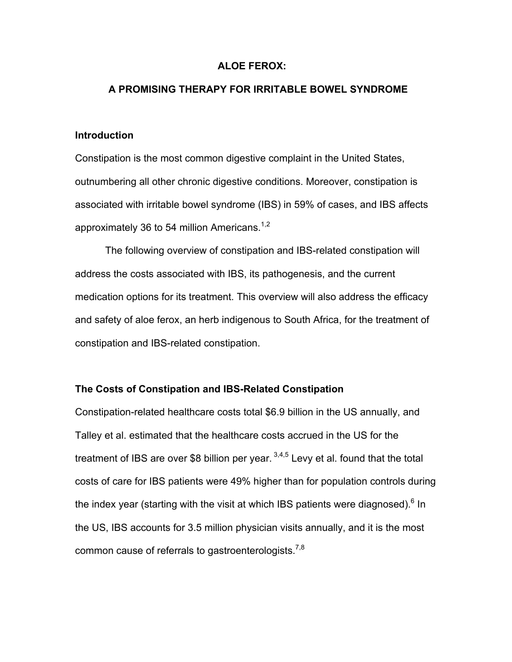### **ALOE FEROX:**

## **A PROMISING THERAPY FOR IRRITABLE BOWEL SYNDROME**

#### **Introduction**

Constipation is the most common digestive complaint in the United States, outnumbering all other chronic digestive conditions. Moreover, constipation is associated with irritable bowel syndrome (IBS) in 59% of cases, and IBS affects approximately 36 to 54 million Americans.<sup>1,2</sup>

The following overview of constipation and IBS-related constipation will address the costs associated with IBS, its pathogenesis, and the current medication options for its treatment. This overview will also address the efficacy and safety of aloe ferox, an herb indigenous to South Africa, for the treatment of constipation and IBS-related constipation.

#### **The Costs of Constipation and IBS-Related Constipation**

Constipation-related healthcare costs total \$6.9 billion in the US annually, and Talley et al. estimated that the healthcare costs accrued in the US for the treatment of IBS are over \$8 billion per year.  $3,4,5$  Levy et al. found that the total costs of care for IBS patients were 49% higher than for population controls during the index year (starting with the visit at which IBS patients were diagnosed).<sup>6</sup> In the US, IBS accounts for 3.5 million physician visits annually, and it is the most common cause of referrals to gastroenterologists.<sup>7,8</sup>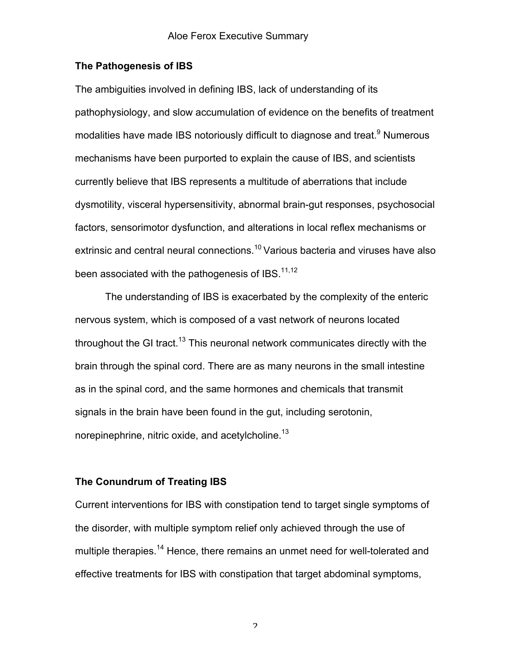### **The Pathogenesis of IBS**

The ambiguities involved in defining IBS, lack of understanding of its pathophysiology, and slow accumulation of evidence on the benefits of treatment modalities have made IBS notoriously difficult to diagnose and treat.<sup>9</sup> Numerous mechanisms have been purported to explain the cause of IBS, and scientists currently believe that IBS represents a multitude of aberrations that include dysmotility, visceral hypersensitivity, abnormal brain-gut responses, psychosocial factors, sensorimotor dysfunction, and alterations in local reflex mechanisms or extrinsic and central neural connections.<sup>10</sup> Various bacteria and viruses have also been associated with the pathogenesis of IBS. $11,12$ 

The understanding of IBS is exacerbated by the complexity of the enteric nervous system, which is composed of a vast network of neurons located throughout the GI tract.<sup>13</sup> This neuronal network communicates directly with the brain through the spinal cord. There are as many neurons in the small intestine as in the spinal cord, and the same hormones and chemicals that transmit signals in the brain have been found in the gut, including serotonin, norepinephrine, nitric oxide, and acetylcholine.<sup>13</sup>

### **The Conundrum of Treating IBS**

Current interventions for IBS with constipation tend to target single symptoms of the disorder, with multiple symptom relief only achieved through the use of multiple therapies.<sup>14</sup> Hence, there remains an unmet need for well-tolerated and effective treatments for IBS with constipation that target abdominal symptoms,

 $\mathfrak{p}$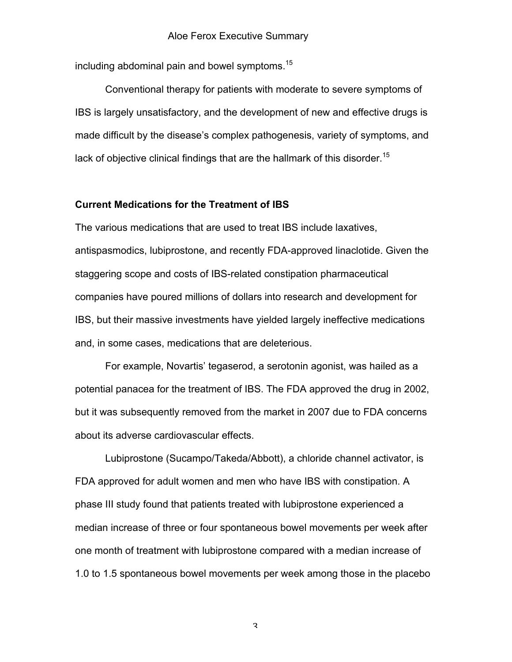including abdominal pain and bowel symptoms.<sup>15</sup>

Conventional therapy for patients with moderate to severe symptoms of IBS is largely unsatisfactory, and the development of new and effective drugs is made difficult by the disease's complex pathogenesis, variety of symptoms, and lack of objective clinical findings that are the hallmark of this disorder.<sup>15</sup>

# **Current Medications for the Treatment of IBS**

The various medications that are used to treat IBS include laxatives, antispasmodics, lubiprostone, and recently FDA-approved linaclotide. Given the staggering scope and costs of IBS-related constipation pharmaceutical companies have poured millions of dollars into research and development for IBS, but their massive investments have yielded largely ineffective medications and, in some cases, medications that are deleterious.

For example, Novartis' tegaserod, a serotonin agonist, was hailed as a potential panacea for the treatment of IBS. The FDA approved the drug in 2002, but it was subsequently removed from the market in 2007 due to FDA concerns about its adverse cardiovascular effects.

Lubiprostone (Sucampo/Takeda/Abbott), a chloride channel activator, is FDA approved for adult women and men who have IBS with constipation. A phase III study found that patients treated with lubiprostone experienced a median increase of three or four spontaneous bowel movements per week after one month of treatment with lubiprostone compared with a median increase of 1.0 to 1.5 spontaneous bowel movements per week among those in the placebo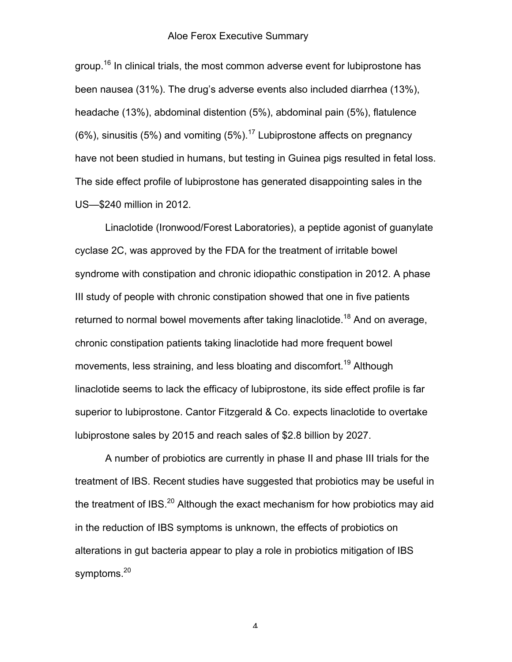group.<sup>16</sup> In clinical trials, the most common adverse event for lubiprostone has been nausea (31%). The drug's adverse events also included diarrhea (13%), headache (13%), abdominal distention (5%), abdominal pain (5%), flatulence  $(6\%)$ , sinusitis (5%) and vomiting (5%).<sup>17</sup> Lubiprostone affects on pregnancy have not been studied in humans, but testing in Guinea pigs resulted in fetal loss. The side effect profile of lubiprostone has generated disappointing sales in the US—\$240 million in 2012.

Linaclotide (Ironwood/Forest Laboratories), a peptide agonist of guanylate cyclase 2C, was approved by the FDA for the treatment of irritable bowel syndrome with constipation and chronic idiopathic constipation in 2012. A phase III study of people with chronic constipation showed that one in five patients returned to normal bowel movements after taking linaclotide.<sup>18</sup> And on average, chronic constipation patients taking linaclotide had more frequent bowel movements, less straining, and less bloating and discomfort.<sup>19</sup> Although linaclotide seems to lack the efficacy of lubiprostone, its side effect profile is far superior to lubiprostone. Cantor Fitzgerald & Co. expects linaclotide to overtake lubiprostone sales by 2015 and reach sales of \$2.8 billion by 2027.

A number of probiotics are currently in phase II and phase III trials for the treatment of IBS. Recent studies have suggested that probiotics may be useful in the treatment of IBS. $^{20}$  Although the exact mechanism for how probiotics may aid in the reduction of IBS symptoms is unknown, the effects of probiotics on alterations in gut bacteria appear to play a role in probiotics mitigation of IBS symptoms.<sup>20</sup>

 $\pmb{\varLambda}$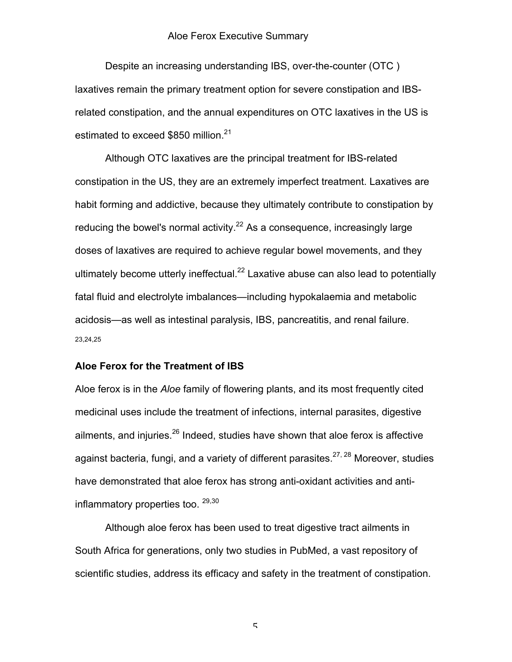Despite an increasing understanding IBS, over-the-counter (OTC ) laxatives remain the primary treatment option for severe constipation and IBSrelated constipation, and the annual expenditures on OTC laxatives in the US is estimated to exceed \$850 million.<sup>21</sup>

Although OTC laxatives are the principal treatment for IBS-related constipation in the US, they are an extremely imperfect treatment. Laxatives are habit forming and addictive, because they ultimately contribute to constipation by reducing the bowel's normal activity.<sup>22</sup> As a consequence, increasingly large doses of laxatives are required to achieve regular bowel movements, and they ultimately become utterly ineffectual.<sup>22</sup> Laxative abuse can also lead to potentially fatal fluid and electrolyte imbalances—including hypokalaemia and metabolic acidosis—as well as intestinal paralysis, IBS, pancreatitis, and renal failure. 23,24,25

#### **Aloe Ferox for the Treatment of IBS**

Aloe ferox is in the *Aloe* family of flowering plants, and its most frequently cited medicinal uses include the treatment of infections, internal parasites, digestive ailments, and injuries.<sup>26</sup> Indeed, studies have shown that aloe ferox is affective against bacteria, fungi, and a variety of different parasites. $27, 28$  Moreover, studies have demonstrated that aloe ferox has strong anti-oxidant activities and antiinflammatory properties too.<sup>29,30</sup>

Although aloe ferox has been used to treat digestive tract ailments in South Africa for generations, only two studies in PubMed, a vast repository of scientific studies, address its efficacy and safety in the treatment of constipation.

 $\overline{\phantom{a}}$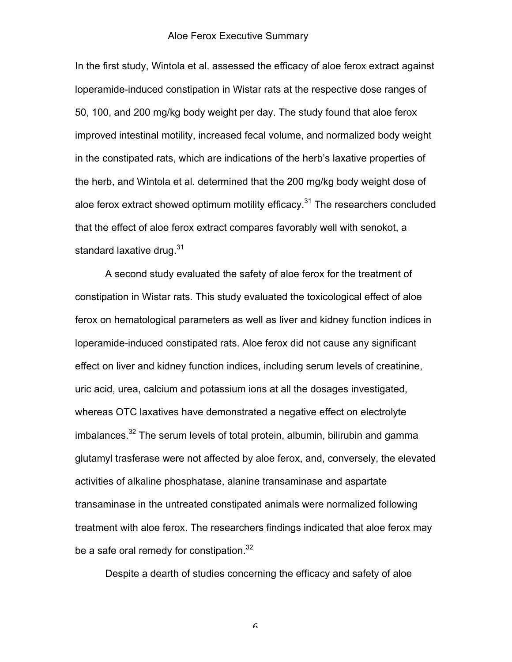In the first study, Wintola et al. assessed the efficacy of aloe ferox extract against loperamide-induced constipation in Wistar rats at the respective dose ranges of 50, 100, and 200 mg/kg body weight per day. The study found that aloe ferox improved intestinal motility, increased fecal volume, and normalized body weight in the constipated rats, which are indications of the herb's laxative properties of the herb, and Wintola et al. determined that the 200 mg/kg body weight dose of aloe ferox extract showed optimum motility efficacy.<sup>31</sup> The researchers concluded that the effect of aloe ferox extract compares favorably well with senokot, a standard laxative drug.<sup>31</sup>

A second study evaluated the safety of aloe ferox for the treatment of constipation in Wistar rats. This study evaluated the toxicological effect of aloe ferox on hematological parameters as well as liver and kidney function indices in loperamide-induced constipated rats. Aloe ferox did not cause any significant effect on liver and kidney function indices, including serum levels of creatinine, uric acid, urea, calcium and potassium ions at all the dosages investigated, whereas OTC laxatives have demonstrated a negative effect on electrolyte  $i$ mbalances.<sup>32</sup> The serum levels of total protein, albumin, bilirubin and gamma glutamyl trasferase were not affected by aloe ferox, and, conversely, the elevated activities of alkaline phosphatase, alanine transaminase and aspartate transaminase in the untreated constipated animals were normalized following treatment with aloe ferox. The researchers findings indicated that aloe ferox may be a safe oral remedy for constipation.<sup>32</sup>

Despite a dearth of studies concerning the efficacy and safety of aloe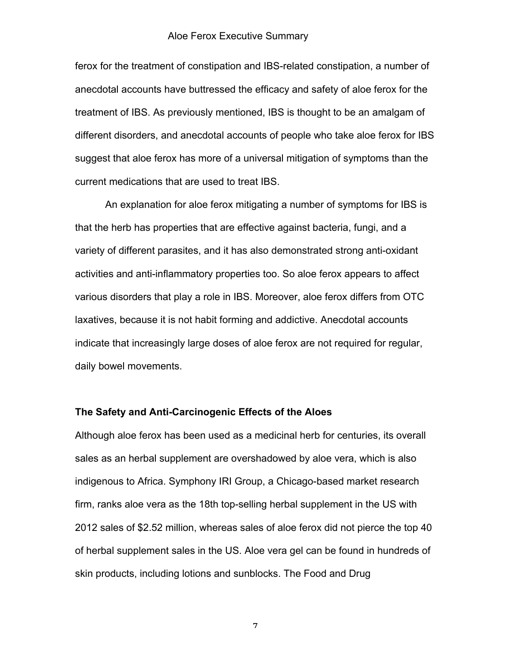ferox for the treatment of constipation and IBS-related constipation, a number of anecdotal accounts have buttressed the efficacy and safety of aloe ferox for the treatment of IBS. As previously mentioned, IBS is thought to be an amalgam of different disorders, and anecdotal accounts of people who take aloe ferox for IBS suggest that aloe ferox has more of a universal mitigation of symptoms than the current medications that are used to treat IBS.

An explanation for aloe ferox mitigating a number of symptoms for IBS is that the herb has properties that are effective against bacteria, fungi, and a variety of different parasites, and it has also demonstrated strong anti-oxidant activities and anti-inflammatory properties too. So aloe ferox appears to affect various disorders that play a role in IBS. Moreover, aloe ferox differs from OTC laxatives, because it is not habit forming and addictive. Anecdotal accounts indicate that increasingly large doses of aloe ferox are not required for regular, daily bowel movements.

### **The Safety and Anti-Carcinogenic Effects of the Aloes**

Although aloe ferox has been used as a medicinal herb for centuries, its overall sales as an herbal supplement are overshadowed by aloe vera, which is also indigenous to Africa. Symphony IRI Group, a Chicago-based market research firm, ranks aloe vera as the 18th top-selling herbal supplement in the US with 2012 sales of \$2.52 million, whereas sales of aloe ferox did not pierce the top 40 of herbal supplement sales in the US. Aloe vera gel can be found in hundreds of skin products, including lotions and sunblocks. The Food and Drug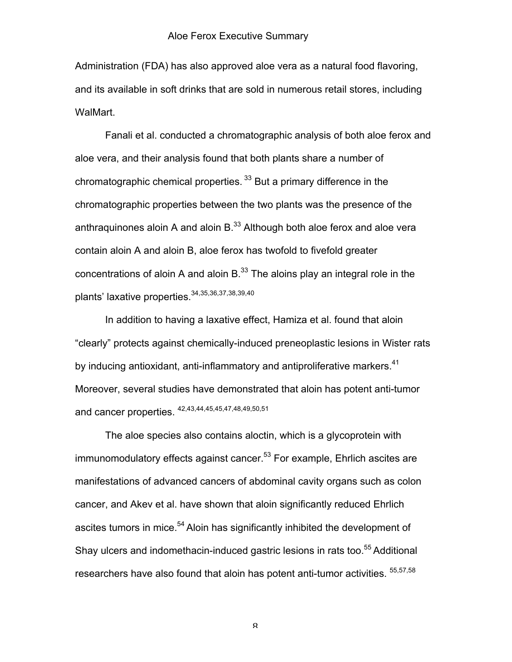Administration (FDA) has also approved aloe vera as a natural food flavoring, and its available in soft drinks that are sold in numerous retail stores, including WalMart.

Fanali et al. conducted a chromatographic analysis of both aloe ferox and aloe vera, and their analysis found that both plants share a number of chromatographic chemical properties.  $33$  But a primary difference in the chromatographic properties between the two plants was the presence of the anthraquinones aloin A and aloin  $B^{33}$  Although both aloe ferox and aloe vera contain aloin A and aloin B, aloe ferox has twofold to fivefold greater concentrations of aloin A and aloin  $B^{33}$ . The aloins play an integral role in the plants' laxative properties.<sup>34,35,36,37,38,39,40</sup>

In addition to having a laxative effect, Hamiza et al. found that aloin "clearly" protects against chemically-induced preneoplastic lesions in Wister rats by inducing antioxidant, anti-inflammatory and antiproliferative markers.<sup>41</sup> Moreover, several studies have demonstrated that aloin has potent anti-tumor and cancer properties.  $42,43,44,45,45,47,48,49,50,51$ 

The aloe species also contains aloctin, which is a glycoprotein with immunomodulatory effects against cancer.<sup>53</sup> For example, Ehrlich ascites are manifestations of advanced cancers of abdominal cavity organs such as colon cancer, and Akev et al. have shown that aloin significantly reduced Ehrlich ascites tumors in mice.<sup>54</sup> Aloin has significantly inhibited the development of Shay ulcers and indomethacin-induced gastric lesions in rats too.<sup>55</sup> Additional researchers have also found that aloin has potent anti-tumor activities. <sup>55,57,58</sup>

 ${\mathsf Q}$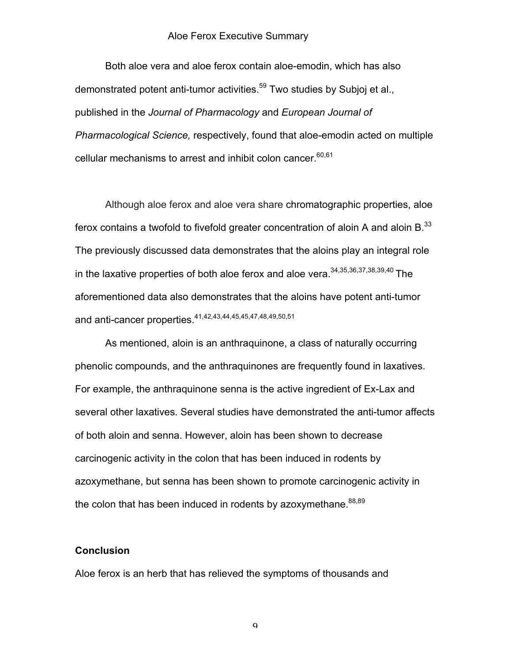Both aloe vera and aloe ferox contain aloe-emodin, which has also demonstrated potent anti-tumor activities.<sup>59</sup> Two studies by Subjoj et al., published in the *Journal of Pharmacology* and *European Journal of Pharmacological Science,* respectively, found that aloe-emodin acted on multiple cellular mechanisms to arrest and inhibit colon cancer.  $60,61$ 

Although aloe ferox and aloe vera share chromatographic properties, aloe ferox contains a twofold to fivefold greater concentration of aloin A and aloin  $B^{33}$ . The previously discussed data demonstrates that the aloins play an integral role in the laxative properties of both aloe ferox and aloe vera.<sup>34,35,36,37,38,39,40</sup> The aforementioned data also demonstrates that the aloins have potent anti-tumor and anti-cancer properties.41,42,43,44,45,45,47,48,49,50,51

As mentioned, aloin is an anthraquinone, a class of naturally occurring phenolic compounds, and the anthraquinones are frequently found in laxatives. For example, the anthraquinone senna is the active ingredient of Ex-Lax and several other laxatives. Several studies have demonstrated the anti-tumor affects of both aloin and senna. However, aloin has been shown to decrease carcinogenic activity in the colon that has been induced in rodents by azoxymethane, but senna has been shown to promote carcinogenic activity in the colon that has been induced in rodents by azoxymethane.  $88,89$ 

### **Conclusion**

Aloe ferox is an herb that has relieved the symptoms of thousands and

 $\mathbf Q$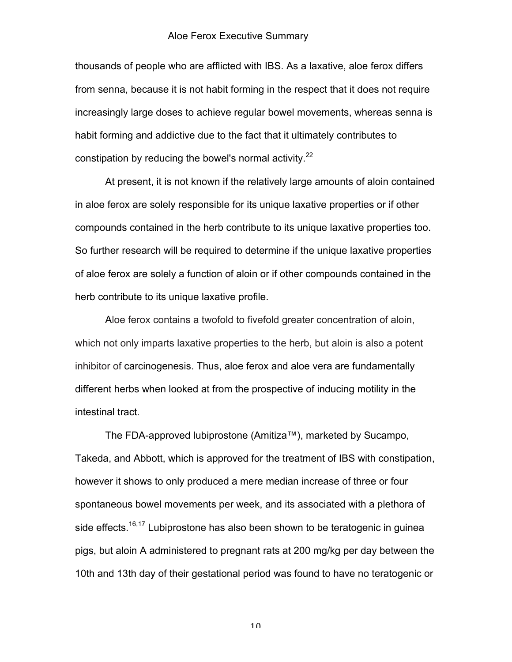thousands of people who are afflicted with IBS. As a laxative, aloe ferox differs from senna, because it is not habit forming in the respect that it does not require increasingly large doses to achieve regular bowel movements, whereas senna is habit forming and addictive due to the fact that it ultimately contributes to constipation by reducing the bowel's normal activity. $22$ 

At present, it is not known if the relatively large amounts of aloin contained in aloe ferox are solely responsible for its unique laxative properties or if other compounds contained in the herb contribute to its unique laxative properties too. So further research will be required to determine if the unique laxative properties of aloe ferox are solely a function of aloin or if other compounds contained in the herb contribute to its unique laxative profile.

Aloe ferox contains a twofold to fivefold greater concentration of aloin, which not only imparts laxative properties to the herb, but aloin is also a potent inhibitor of carcinogenesis. Thus, aloe ferox and aloe vera are fundamentally different herbs when looked at from the prospective of inducing motility in the intestinal tract.

The FDA-approved lubiprostone (Amitiza™), marketed by Sucampo, Takeda, and Abbott, which is approved for the treatment of IBS with constipation, however it shows to only produced a mere median increase of three or four spontaneous bowel movements per week, and its associated with a plethora of side effects.<sup>16,17</sup> Lubiprostone has also been shown to be teratogenic in guinea pigs, but aloin A administered to pregnant rats at 200 mg/kg per day between the 10th and 13th day of their gestational period was found to have no teratogenic or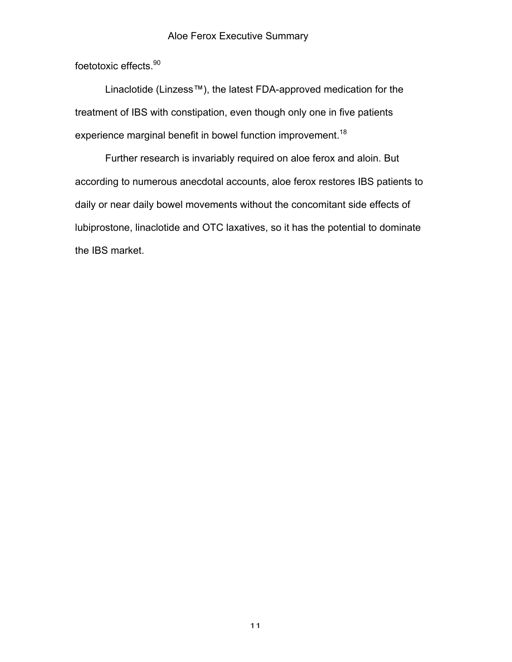foetotoxic effects.<sup>90</sup>

Linaclotide (Linzess™), the latest FDA-approved medication for the treatment of IBS with constipation, even though only one in five patients experience marginal benefit in bowel function improvement.<sup>18</sup>

Further research is invariably required on aloe ferox and aloin. But according to numerous anecdotal accounts, aloe ferox restores IBS patients to daily or near daily bowel movements without the concomitant side effects of lubiprostone, linaclotide and OTC laxatives, so it has the potential to dominate the IBS market.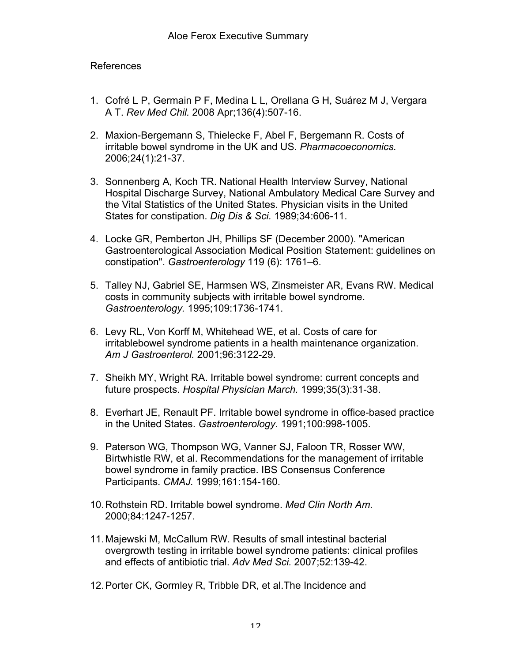# References

- 1. Cofré L P, Germain P F, Medina L L, Orellana G H, Suárez M J, Vergara A T. *Rev Med Chil.* 2008 Apr;136(4):507-16.
- 2. Maxion-Bergemann S, Thielecke F, Abel F, Bergemann R. Costs of irritable bowel syndrome in the UK and US. *Pharmacoeconomics.* 2006;24(1):21-37.
- 3. Sonnenberg A, Koch TR. National Health Interview Survey, National Hospital Discharge Survey, National Ambulatory Medical Care Survey and the Vital Statistics of the United States. Physician visits in the United States for constipation. *Dig Dis & Sci.* 1989;34:606-11.
- 4. Locke GR, Pemberton JH, Phillips SF (December 2000). "American Gastroenterological Association Medical Position Statement: guidelines on constipation". *Gastroenterology* 119 (6): 1761–6.
- 5. Talley NJ, Gabriel SE, Harmsen WS, Zinsmeister AR, Evans RW. Medical costs in community subjects with irritable bowel syndrome. *Gastroenterology.* 1995;109:1736-1741.
- 6. Levy RL, Von Korff M, Whitehead WE, et al. Costs of care for irritablebowel syndrome patients in a health maintenance organization. *Am J Gastroenterol.* 2001;96:3122-29.
- 7. Sheikh MY, Wright RA. Irritable bowel syndrome: current concepts and future prospects. *Hospital Physician March.* 1999;35(3):31-38.
- 8. Everhart JE, Renault PF. Irritable bowel syndrome in office-based practice in the United States. *Gastroenterology.* 1991;100:998-1005.
- 9. Paterson WG, Thompson WG, Vanner SJ, Faloon TR, Rosser WW, Birtwhistle RW, et al. Recommendations for the management of irritable bowel syndrome in family practice. IBS Consensus Conference Participants. *CMAJ.* 1999;161:154-160.
- 10.Rothstein RD. Irritable bowel syndrome. *Med Clin North Am.* 2000;84:1247-1257.
- 11.Majewski M, McCallum RW. Results of small intestinal bacterial overgrowth testing in irritable bowel syndrome patients: clinical profiles and effects of antibiotic trial. *Adv Med Sci.* 2007;52:139-42.
- 12.Porter CK, Gormley R, Tribble DR, et al.The Incidence and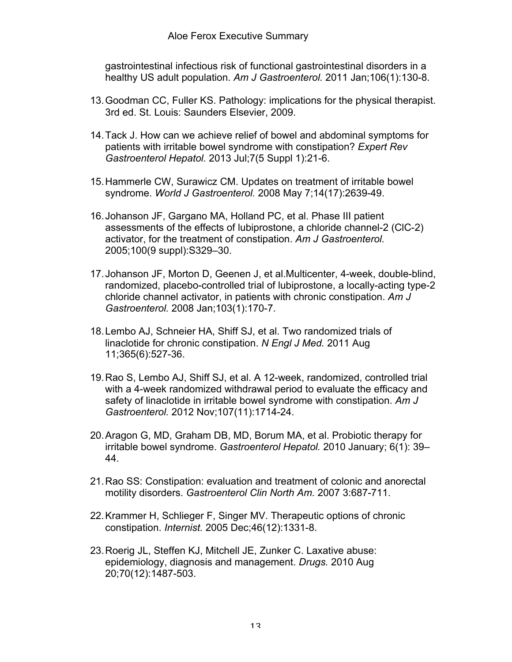gastrointestinal infectious risk of functional gastrointestinal disorders in a healthy US adult population. *Am J Gastroenterol.* 2011 Jan;106(1):130-8.

- 13.Goodman CC, Fuller KS. Pathology: implications for the physical therapist. 3rd ed. St. Louis: Saunders Elsevier, 2009.
- 14.Tack J. How can we achieve relief of bowel and abdominal symptoms for patients with irritable bowel syndrome with constipation? *Expert Rev Gastroenterol Hepatol.* 2013 Jul;7(5 Suppl 1):21-6.
- 15.Hammerle CW, Surawicz CM. Updates on treatment of irritable bowel syndrome. *World J Gastroenterol.* 2008 May 7;14(17):2639-49.
- 16.Johanson JF, Gargano MA, Holland PC, et al. Phase III patient assessments of the effects of lubiprostone, a chloride channel-2 (ClC-2) activator, for the treatment of constipation. *Am J Gastroenterol.*  2005;100(9 suppl):S329–30.
- 17.Johanson JF, Morton D, Geenen J, et al.Multicenter, 4-week, double-blind, randomized, placebo-controlled trial of lubiprostone, a locally-acting type-2 chloride channel activator, in patients with chronic constipation. *Am J Gastroenterol.* 2008 Jan;103(1):170-7.
- 18.Lembo AJ, Schneier HA, Shiff SJ, et al. Two randomized trials of linaclotide for chronic constipation. *N Engl J Med.* 2011 Aug 11;365(6):527-36.
- 19.Rao S, Lembo AJ, Shiff SJ, et al. A 12-week, randomized, controlled trial with a 4-week randomized withdrawal period to evaluate the efficacy and safety of linaclotide in irritable bowel syndrome with constipation. *Am J Gastroenterol.* 2012 Nov;107(11):1714-24.
- 20.Aragon G, MD, Graham DB, MD, Borum MA, et al. Probiotic therapy for irritable bowel syndrome. *Gastroenterol Hepatol.* 2010 January; 6(1): 39– 44.
- 21.Rao SS: Constipation: evaluation and treatment of colonic and anorectal motility disorders. *Gastroenterol Clin North Am.* 2007 3:687-711.
- 22.Krammer H, Schlieger F, Singer MV. Therapeutic options of chronic constipation. *Internist.* 2005 Dec;46(12):1331-8.
- 23.Roerig JL, Steffen KJ, Mitchell JE, Zunker C. Laxative abuse: epidemiology, diagnosis and management. *Drugs.* 2010 Aug 20;70(12):1487-503.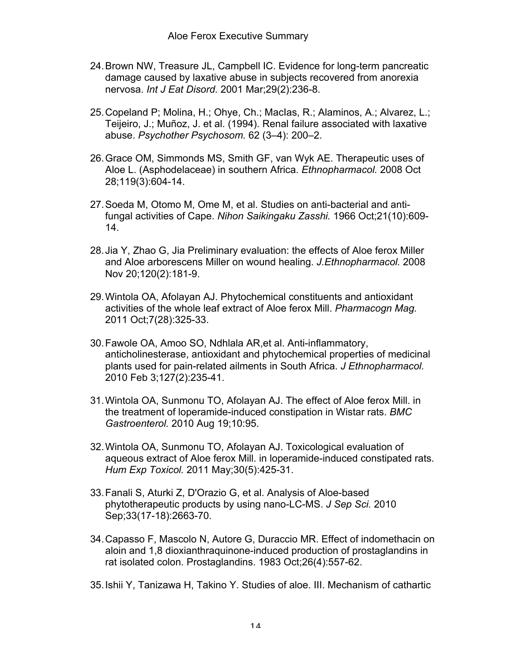- 24.Brown NW, Treasure JL, Campbell IC. Evidence for long-term pancreatic damage caused by laxative abuse in subjects recovered from anorexia nervosa. *Int J Eat Disord.* 2001 Mar;29(2):236-8.
- 25.Copeland P; Molina, H.; Ohye, Ch.; MacIas, R.; Alaminos, A.; Alvarez, L.; Teijeiro, J.; Muñoz, J. et al. (1994). Renal failure associated with laxative abuse. *Psychother Psychosom.* 62 (3–4): 200–2.
- 26.Grace OM, Simmonds MS, Smith GF, van Wyk AE. Therapeutic uses of Aloe L. (Asphodelaceae) in southern Africa. *Ethnopharmacol.* 2008 Oct 28;119(3):604-14.
- 27.Soeda M, Otomo M, Ome M, et al. Studies on anti-bacterial and antifungal activities of Cape. *Nihon Saikingaku Zasshi.* 1966 Oct;21(10):609- 14.
- 28.Jia Y, Zhao G, Jia Preliminary evaluation: the effects of Aloe ferox Miller and Aloe arborescens Miller on wound healing. *J.Ethnopharmacol.* 2008 Nov 20;120(2):181-9.
- 29.Wintola OA, Afolayan AJ. Phytochemical constituents and antioxidant activities of the whole leaf extract of Aloe ferox Mill. *Pharmacogn Mag.* 2011 Oct;7(28):325-33.
- 30.Fawole OA, Amoo SO, Ndhlala AR,et al. Anti-inflammatory, anticholinesterase, antioxidant and phytochemical properties of medicinal plants used for pain-related ailments in South Africa. *J Ethnopharmacol.* 2010 Feb 3;127(2):235-41.
- 31.Wintola OA, Sunmonu TO, Afolayan AJ. The effect of Aloe ferox Mill. in the treatment of loperamide-induced constipation in Wistar rats. *BMC Gastroenterol.* 2010 Aug 19;10:95.
- 32.Wintola OA, Sunmonu TO, Afolayan AJ. Toxicological evaluation of aqueous extract of Aloe ferox Mill. in loperamide-induced constipated rats. *Hum Exp Toxicol.* 2011 May;30(5):425-31.
- 33.Fanali S, Aturki Z, D'Orazio G, et al. Analysis of Aloe-based phytotherapeutic products by using nano-LC-MS. *J Sep Sci.* 2010 Sep;33(17-18):2663-70.
- 34.Capasso F, Mascolo N, Autore G, Duraccio MR. Effect of indomethacin on aloin and 1,8 dioxianthraquinone-induced production of prostaglandins in rat isolated colon. Prostaglandins. 1983 Oct;26(4):557-62.
- 35.Ishii Y, Tanizawa H, Takino Y. Studies of aloe. III. Mechanism of cathartic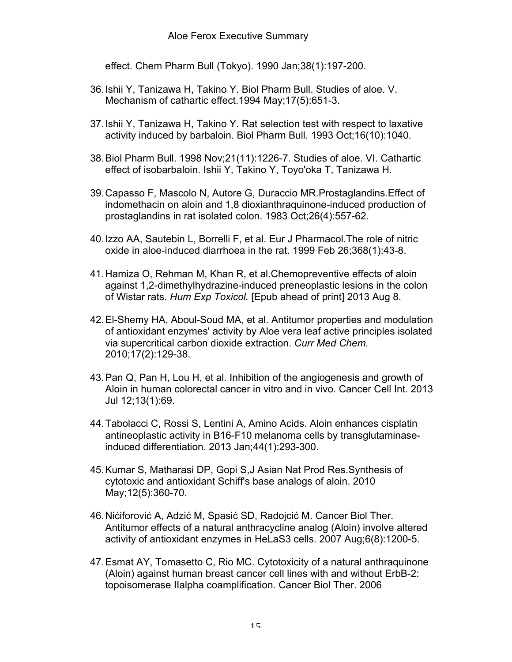effect. Chem Pharm Bull (Tokyo). 1990 Jan;38(1):197-200.

- 36.Ishii Y, Tanizawa H, Takino Y. Biol Pharm Bull. Studies of aloe. V. Mechanism of cathartic effect.1994 May;17(5):651-3.
- 37.Ishii Y, Tanizawa H, Takino Y. Rat selection test with respect to laxative activity induced by barbaloin. Biol Pharm Bull. 1993 Oct;16(10):1040.
- 38.Biol Pharm Bull. 1998 Nov;21(11):1226-7. Studies of aloe. VI. Cathartic effect of isobarbaloin. Ishii Y, Takino Y, Toyo'oka T, Tanizawa H.
- 39.Capasso F, Mascolo N, Autore G, Duraccio MR.Prostaglandins.Effect of indomethacin on aloin and 1,8 dioxianthraquinone-induced production of prostaglandins in rat isolated colon. 1983 Oct;26(4):557-62.
- 40.Izzo AA, Sautebin L, Borrelli F, et al. Eur J Pharmacol.The role of nitric oxide in aloe-induced diarrhoea in the rat. 1999 Feb 26;368(1):43-8.
- 41.Hamiza O, Rehman M, Khan R, et al.Chemopreventive effects of aloin against 1,2-dimethylhydrazine-induced preneoplastic lesions in the colon of Wistar rats. *Hum Exp Toxicol.* [Epub ahead of print] 2013 Aug 8.
- 42.El-Shemy HA, Aboul-Soud MA, et al. Antitumor properties and modulation of antioxidant enzymes' activity by Aloe vera leaf active principles isolated via supercritical carbon dioxide extraction. *Curr Med Chem.* 2010;17(2):129-38.
- 43.Pan Q, Pan H, Lou H, et al. Inhibition of the angiogenesis and growth of Aloin in human colorectal cancer in vitro and in vivo. Cancer Cell Int. 2013 Jul 12;13(1):69.
- 44.Tabolacci C, Rossi S, Lentini A, Amino Acids. Aloin enhances cisplatin antineoplastic activity in B16-F10 melanoma cells by transglutaminaseinduced differentiation. 2013 Jan;44(1):293-300.
- 45.Kumar S, Matharasi DP, Gopi S,J Asian Nat Prod Res.Synthesis of cytotoxic and antioxidant Schiff's base analogs of aloin. 2010 May;12(5):360-70.
- 46.Nićiforović A, Adzić M, Spasić SD, Radojcić M. Cancer Biol Ther. Antitumor effects of a natural anthracycline analog (Aloin) involve altered activity of antioxidant enzymes in HeLaS3 cells. 2007 Aug;6(8):1200-5.
- 47.Esmat AY, Tomasetto C, Rio MC. Cytotoxicity of a natural anthraquinone (Aloin) against human breast cancer cell lines with and without ErbB-2: topoisomerase IIalpha coamplification. Cancer Biol Ther. 2006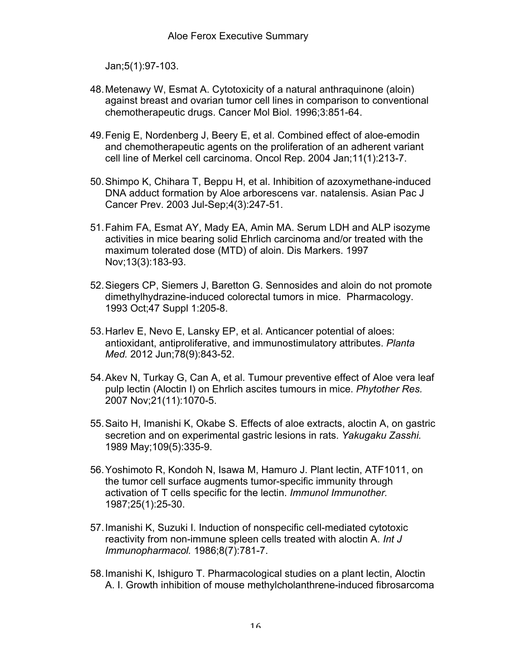Jan;5(1):97-103.

- 48.Metenawy W, Esmat A. Cytotoxicity of a natural anthraquinone (aloin) against breast and ovarian tumor cell lines in comparison to conventional chemotherapeutic drugs. Cancer Mol Biol. 1996;3:851-64.
- 49.Fenig E, Nordenberg J, Beery E, et al. Combined effect of aloe-emodin and chemotherapeutic agents on the proliferation of an adherent variant cell line of Merkel cell carcinoma. Oncol Rep. 2004 Jan;11(1):213-7.
- 50.Shimpo K, Chihara T, Beppu H, et al. Inhibition of azoxymethane-induced DNA adduct formation by Aloe arborescens var. natalensis. Asian Pac J Cancer Prev. 2003 Jul-Sep;4(3):247-51.
- 51.Fahim FA, Esmat AY, Mady EA, Amin MA. Serum LDH and ALP isozyme activities in mice bearing solid Ehrlich carcinoma and/or treated with the maximum tolerated dose (MTD) of aloin. Dis Markers. 1997 Nov;13(3):183-93.
- 52.Siegers CP, Siemers J, Baretton G. Sennosides and aloin do not promote dimethylhydrazine-induced colorectal tumors in mice. Pharmacology. 1993 Oct;47 Suppl 1:205-8.
- 53.Harlev E, Nevo E, Lansky EP, et al. Anticancer potential of aloes: antioxidant, antiproliferative, and immunostimulatory attributes. *Planta Med.* 2012 Jun;78(9):843-52.
- 54.Akev N, Turkay G, Can A, et al. Tumour preventive effect of Aloe vera leaf pulp lectin (Aloctin I) on Ehrlich ascites tumours in mice. *Phytother Res.* 2007 Nov;21(11):1070-5.
- 55.Saito H, Imanishi K, Okabe S. Effects of aloe extracts, aloctin A, on gastric secretion and on experimental gastric lesions in rats. *Yakugaku Zasshi.* 1989 May;109(5):335-9.
- 56.Yoshimoto R, Kondoh N, Isawa M, Hamuro J. Plant lectin, ATF1011, on the tumor cell surface augments tumor-specific immunity through activation of T cells specific for the lectin. *Immunol Immunother.* 1987;25(1):25-30.
- 57.Imanishi K, Suzuki I. Induction of nonspecific cell-mediated cytotoxic reactivity from non-immune spleen cells treated with aloctin A. *Int J Immunopharmacol.* 1986;8(7):781-7.
- 58.Imanishi K, Ishiguro T. Pharmacological studies on a plant lectin, Aloctin A. I. Growth inhibition of mouse methylcholanthrene-induced fibrosarcoma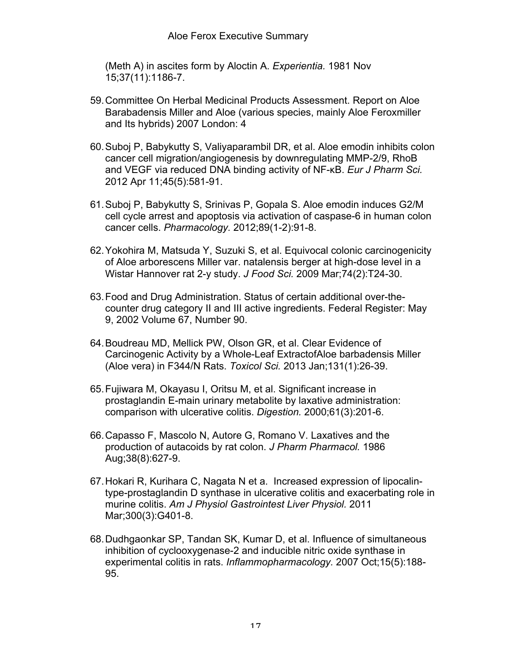(Meth A) in ascites form by Aloctin A. *Experientia.* 1981 Nov 15;37(11):1186-7.

- 59.Committee On Herbal Medicinal Products Assessment. Report on Aloe Barabadensis Miller and Aloe (various species, mainly Aloe Feroxmiller and Its hybrids) 2007 London: 4
- 60.Suboj P, Babykutty S, Valiyaparambil DR, et al. Aloe emodin inhibits colon cancer cell migration/angiogenesis by downregulating MMP-2/9, RhoB and VEGF via reduced DNA binding activity of NF-κB. *Eur J Pharm Sci.* 2012 Apr 11;45(5):581-91.
- 61.Suboj P, Babykutty S, Srinivas P, Gopala S. Aloe emodin induces G2/M cell cycle arrest and apoptosis via activation of caspase-6 in human colon cancer cells. *Pharmacology.* 2012;89(1-2):91-8.
- 62.Yokohira M, Matsuda Y, Suzuki S, et al. Equivocal colonic carcinogenicity of Aloe arborescens Miller var. natalensis berger at high-dose level in a Wistar Hannover rat 2-y study. *J Food Sci.* 2009 Mar;74(2):T24-30.
- 63.Food and Drug Administration. Status of certain additional over-thecounter drug category II and III active ingredients. Federal Register: May 9, 2002 Volume 67, Number 90.
- 64.Boudreau MD, Mellick PW, Olson GR, et al. Clear Evidence of Carcinogenic Activity by a Whole-Leaf ExtractofAloe barbadensis Miller (Aloe vera) in F344/N Rats. *Toxicol Sci.* 2013 Jan;131(1):26-39.
- 65.Fujiwara M, Okayasu I, Oritsu M, et al. Significant increase in prostaglandin E-main urinary metabolite by laxative administration: comparison with ulcerative colitis. *Digestion.* 2000;61(3):201-6.
- 66.Capasso F, Mascolo N, Autore G, Romano V. Laxatives and the production of autacoids by rat colon. *J Pharm Pharmacol.* 1986 Aug;38(8):627-9.
- 67.Hokari R, Kurihara C, Nagata N et a. Increased expression of lipocalintype-prostaglandin D synthase in ulcerative colitis and exacerbating role in murine colitis. *Am J Physiol Gastrointest Liver Physiol.* 2011 Mar;300(3):G401-8.
- 68.Dudhgaonkar SP, Tandan SK, Kumar D, et al. Influence of simultaneous inhibition of cyclooxygenase-2 and inducible nitric oxide synthase in experimental colitis in rats. *Inflammopharmacology.* 2007 Oct;15(5):188- 95.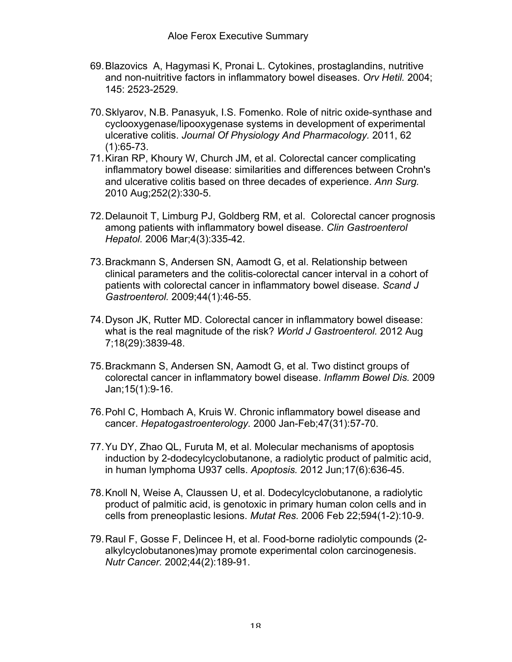- 69.Blazovics A, Hagymasi K, Pronai L. Cytokines, prostaglandins, nutritive and non-nuitritive factors in inflammatory bowel diseases. *Orv Hetil.* 2004; 145: 2523-2529.
- 70.Sklyarov, N.B. Panasyuk, I.S. Fomenko. Role of nitric oxide-synthase and cyclooxygenase/lipooxygenase systems in development of experimental ulcerative colitis. *Journal Of Physiology And Pharmacology.* 2011, 62 (1):65-73.
- 71.Kiran RP, Khoury W, Church JM, et al. Colorectal cancer complicating inflammatory bowel disease: similarities and differences between Crohn's and ulcerative colitis based on three decades of experience. *Ann Surg.*  2010 Aug;252(2):330-5.
- 72.Delaunoit T, Limburg PJ, Goldberg RM, et al. Colorectal cancer prognosis among patients with inflammatory bowel disease. *Clin Gastroenterol Hepatol.* 2006 Mar;4(3):335-42.
- 73.Brackmann S, Andersen SN, Aamodt G, et al. Relationship between clinical parameters and the colitis-colorectal cancer interval in a cohort of patients with colorectal cancer in inflammatory bowel disease. *Scand J Gastroenterol.* 2009;44(1):46-55.
- 74.Dyson JK, Rutter MD. Colorectal cancer in inflammatory bowel disease: what is the real magnitude of the risk? *World J Gastroenterol.* 2012 Aug 7;18(29):3839-48.
- 75.Brackmann S, Andersen SN, Aamodt G, et al. Two distinct groups of colorectal cancer in inflammatory bowel disease. *Inflamm Bowel Dis.* 2009 Jan;15(1):9-16.
- 76.Pohl C, Hombach A, Kruis W. Chronic inflammatory bowel disease and cancer. *Hepatogastroenterology.* 2000 Jan-Feb;47(31):57-70.
- 77.Yu DY, Zhao QL, Furuta M, et al. Molecular mechanisms of apoptosis induction by 2-dodecylcyclobutanone, a radiolytic product of palmitic acid, in human lymphoma U937 cells. *Apoptosis.* 2012 Jun;17(6):636-45.
- 78.Knoll N, Weise A, Claussen U, et al. Dodecylcyclobutanone, a radiolytic product of palmitic acid, is genotoxic in primary human colon cells and in cells from preneoplastic lesions. *Mutat Res.* 2006 Feb 22;594(1-2):10-9.
- 79.Raul F, Gosse F, Delincee H, et al. Food-borne radiolytic compounds (2 alkylcyclobutanones)may promote experimental colon carcinogenesis. *Nutr Cancer.* 2002;44(2):189-91.